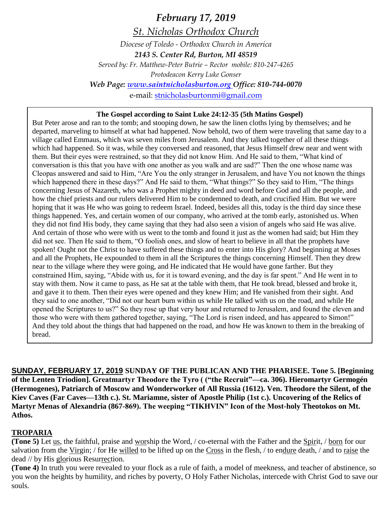*February 17, 2019 St. Nicholas Orthodox Church Diocese of Toledo - Orthodox Church in America 2143 S. Center Rd, Burton, MI 48519 Served by: Fr. Matthew-Peter Butrie – Rector mobile: 810-247-4265 Protodeacon Kerry Luke Gonser Web Page: [www.saintnicholasburton.org](http://www.saintnicholasburton.org/) Office: 810-744-0070* e-mail: [stnicholasburtonmi@gmail.com](mailto:stnicholasburtonmi@gmail.com)

#### **The Gospel according to Saint Luke 24:12-35 (5th Matins Gospel)**

But Peter arose and ran to the tomb; and stooping down, he saw the linen cloths lying by themselves; and he departed, marveling to himself at what had happened. Now behold, two of them were traveling that same day to a village called Emmaus, which was seven miles from Jerusalem. And they talked together of all these things which had happened. So it was, while they conversed and reasoned, that Jesus Himself drew near and went with them. But their eyes were restrained, so that they did not know Him. And He said to them, "What kind of conversation is this that you have with one another as you walk and are sad?" Then the one whose name was Cleopas answered and said to Him, "Are You the only stranger in Jerusalem, and have You not known the things which happened there in these days?" And He said to them, "What things?" So they said to Him, "The things concerning Jesus of Nazareth, who was a Prophet mighty in deed and word before God and all the people, and how the chief priests and our rulers delivered Him to be condemned to death, and crucified Him. But we were hoping that it was He who was going to redeem Israel. Indeed, besides all this, today is the third day since these things happened. Yes, and certain women of our company, who arrived at the tomb early, astonished us. When they did not find His body, they came saying that they had also seen a vision of angels who said He was alive. And certain of those who were with us went to the tomb and found it just as the women had said; but Him they did not see. Then He said to them, "O foolish ones, and slow of heart to believe in all that the prophets have spoken! Ought not the Christ to have suffered these things and to enter into His glory? And beginning at Moses and all the Prophets, He expounded to them in all the Scriptures the things concerning Himself. Then they drew near to the village where they were going, and He indicated that He would have gone farther. But they constrained Him, saying, "Abide with us, for it is toward evening, and the day is far spent." And He went in to stay with them. Now it came to pass, as He sat at the table with them, that He took bread, blessed and broke it, and gave it to them. Then their eyes were opened and they knew Him; and He vanished from their sight. And they said to one another, "Did not our heart burn within us while He talked with us on the road, and while He opened the Scriptures to us?" So they rose up that very hour and returned to Jerusalem, and found the eleven and those who were with them gathered together, saying, "The Lord is risen indeed, and has appeared to Simon!" And they told about the things that had happened on the road, and how He was known to them in the breaking of bread.

**SUNDAY, FEBRUARY 17, 2019 SUNDAY OF THE PUBLICAN AND THE PHARISEE. Tone 5. [Beginning of the Lenten Triodion]. Greatmartyr Theodore the Tyro ( ("the Recruit"—ca. 306). Hieromartyr Germogén (Hermogenes), Patriarch of Moscow and Wonderworker of All Russia (1612). Ven. Theodore the Silent, of the Kiev Caves (Far Caves—13th c.). St. Mariamne, sister of Apostle Philip (1st c.). Uncovering of the Relics of Martyr Menas of Alexandria (867-869). The weeping "TIKHVIN" Icon of the Most-holy Theotokos on Mt. Athos.**

#### **TROPARIA**

**(Tone 5)** Let us, the faithful, praise and worship the Word, / co-eternal with the Father and the Spirit, / born for our salvation from the Virgin; / for He willed to be lifted up on the Cross in the flesh, / to endure death, / and to raise the dead // by His glorious Resurrection.

**(Tone 4)** In truth you were revealed to your flock as a rule of faith, a model of meekness, and teacher of abstinence, so you won the heights by humility, and riches by poverty, O Holy Father Nicholas, intercede with Christ God to save our souls.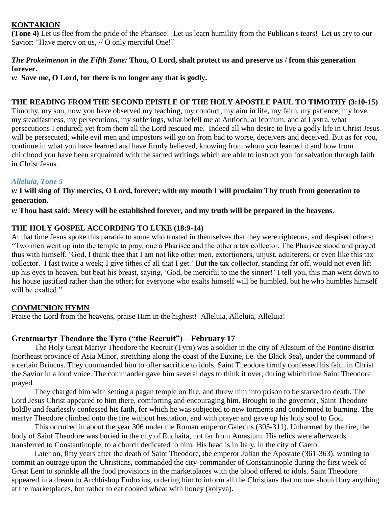# **KONTAKION**

**(Tone 4)** Let us flee from the pride of the Pharisee! Let us learn humility from the Publican's tears! Let us cry to our Savior: "Have mercy on us, // O only merciful One!"

## *The Prokeimenon in the Fifth Tone:* **Thou, O Lord, shalt protect us and preserve us / from this generation forever.**

*v:* **Save me, O Lord, for there is no longer any that is godly.**

## **THE READING FROM THE SECOND EPISTLE OF THE HOLY APOSTLE PAUL TO TIMOTHY (3:10-15)**

Timothy, my son, now you have observed my teaching, my conduct, my aim in life, my faith, my patience, my love, my steadfastness, my persecutions, my sufferings, what befell me at Antioch, at Iconium, and at Lystra, what persecutions I endured; yet from them all the Lord rescued me. Indeed all who desire to live a godly life in Christ Jesus will be persecuted, while evil men and impostors will go on from bad to worse, deceivers and deceived. But as for you, continue in what you have learned and have firmly believed, knowing from whom you learned it and how from childhood you have been acquainted with the sacred writings which are able to instruct you for salvation through faith in Christ Jesus.

### *Alleluia, Tone 5*

*v:* **I will sing of Thy mercies, O Lord, forever; with my mouth I will proclaim Thy truth from generation to generation.**

*v:* **Thou hast said: Mercy will be established forever, and my truth will be prepared in the heavens.**

### **THE HOLY GOSPEL ACCORDING TO LUKE (18:9-14)**

At that time Jesus spoke this parable to some who trusted in themselves that they were righteous, and despised others: "Two men went up into the temple to pray, one a Pharisee and the other a tax collector. The Pharisee stood and prayed thus with himself, 'God, I thank thee that I am not like other men, extortioners, unjust, adulterers, or even like this tax collector. I fast twice a week; I give tithes of all that I get.' But the tax collector, standing far off, would not even lift up his eyes to heaven, but beat his breast, saying, 'God, be merciful to me the sinner!' I tell you, this man went down to his house justified rather than the other; for everyone who exalts himself will be humbled, but he who humbles himself will be exalted."

# **COMMUNION HYMN**

Praise the Lord from the heavens, praise Him in the highest! Alleluia, Alleluia, Alleluia!

# **Greatmartyr Theodore the Tyro ("the Recruit") – February 17**

The Holy Great Martyr Theodore the Recruit (Tyro) was a soldier in the city of Alasium of the Pontine district (northeast province of Asia Minor, stretching along the coast of the Euxine, i.e. the Black Sea), under the command of a certain Brincus. They commanded him to offer sacrifice to idols. Saint Theodore firmly confessed his faith in Christ the Savior in a loud voice. The commander gave him several days to think it over, during which time Saint Theodore prayed.

They charged him with setting a pagan temple on fire, and threw him into prison to be starved to death. The Lord Jesus Christ appeared to him there, comforting and encouraging him. Brought to the governor, Saint Theodore boldly and fearlessly confessed his faith, for which he was subjected to new torments and condemned to burning. The martyr Theodore climbed onto the fire without hesitation, and with prayer and gave up his holy soul to God.

This occurred in about the year 306 under the Roman emperor Galerius (305-311). Unharmed by the fire, the body of Saint Theodore was buried in the city of Euchaita, not far from Amasium. His relics were afterwards transferred to Constantinople, to a church dedicated to him. His head is in Italy, in the city of Gaeto.

Later on, fifty years after the death of Saint Theodore, the emperor Julian the Apostate (361-363), wanting to commit an outrage upon the Christians, commanded the city-commander of Constantinople during the first week of Great Lent to sprinkle all the food provisions in the marketplaces with the blood offered to idols. Saint Theodore appeared in a dream to Archbishop Eudoxius, ordering him to inform all the Christians that no one should buy anything at the marketplaces, but rather to eat cooked wheat with honey (kolyva).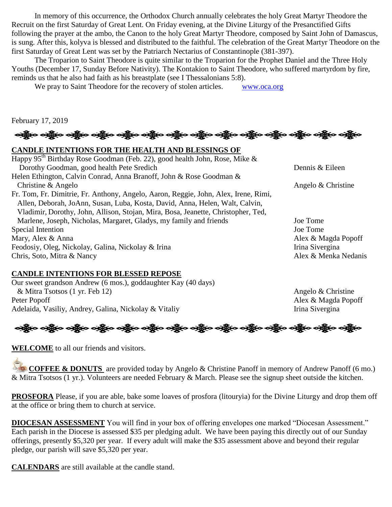In memory of this occurrence, the Orthodox Church annually celebrates the holy Great Martyr Theodore the Recruit on the first Saturday of Great Lent. On Friday evening, at the Divine Liturgy of the Presanctified Gifts following the prayer at the ambo, the Canon to the holy Great Martyr Theodore, composed by Saint John of Damascus, is sung. After this, kolyva is blessed and distributed to the faithful. The celebration of the Great Martyr Theodore on the first Saturday of Great Lent was set by the Patriarch Nectarius of Constantinople (381-397).

The Troparion to Saint Theodore is quite similar to the Troparion for the Prophet Daniel and the Three Holy Youths (December 17, Sunday Before Nativity). The Kontakion to Saint Theodore, who suffered martyrdom by fire, reminds us that he also had faith as his breastplate (see I Thessalonians 5:8).

We pray to Saint Theodore for the recovery of stolen articles. [www.oca.org](http://www.oca.org/)

February 17, 2019

ခရွို့လ ခရွို့လ ခရွို့လ ခရွို့လ ခရွို့လ ခရွို့လ ခရွို့လ ခရွို့လ ခရွို့လ ခရွို့လ ခရွို့လ ခရွို့လ ခရွို့လ ခရွို့လ

# **CANDLE INTENTIONS FOR THE HEALTH AND BLESSINGS OF**

Happy 95<sup>th</sup> Birthday Rose Goodman (Feb. 22), good health John, Rose, Mike & Dorothy Goodman, good health Pete Sredich Dennis & Eileen Helen Ethington, Calvin Conrad, Anna Branoff, John & Rose Goodman & Christine & Angelo  $\&$  Christine Fr. Tom, Fr. Dimitrie, Fr. Anthony, Angelo, Aaron, Reggie, John, Alex, Irene, Rimi, Allen, Deborah, JoAnn, Susan, Luba, Kosta, David, Anna, Helen, Walt, Calvin, Vladimir, Dorothy, John, Allison, Stojan, Mira, Bosa, Jeanette, Christopher, Ted, Marlene, Joseph, Nicholas, Margaret, Gladys, my family and friends Joe Tome Special Intention Joe Tome Mary, Alex & Anna  $\overline{A}$  Alex & Magda Popoff Feodosiy, Oleg, Nickolay, Galina, Nickolay & Irina Irina Irina Irina Sivergina Chris, Soto, Mitra & Nancy Alex & Menka Nedanis

#### **CANDLE INTENTIONS FOR BLESSED REPOSE**

Our sweet grandson Andrew (6 mos.), goddaughter Kay (40 days) & Mitra Tsotsos (1 yr. Feb 12) Angelo & Christine Peter Popoff Alex & Magda Popoff Adelaida, Vasiliy, Andrey, Galina, Nickolay & Vitaliy Irina Sivergina

ခရွို့လ ခရွို့လ ခရွိမ် ပည့်လ ခရွိပ် သို့မှာ ခရွိပ် ခရွိပ် ခရွိပ် ခရွိပ် ခရွိပ် ခရွိပ် ခရွိပ် ခရွိပ် ခရွိပ်

**WELCOME** to all our friends and visitors.

**COFFEE & DONUTS** are provided today by Angelo & Christine Panoff in memory of Andrew Panoff (6 mo.) & Mitra Tsotsos (1 yr.). Volunteers are needed February & March. Please see the signup sheet outside the kitchen.

**PROSFORA** Please, if you are able, bake some loaves of prosfora (litouryia) for the Divine Liturgy and drop them off at the office or bring them to church at service.

**DIOCESAN ASSESSMENT** You will find in your box of offering envelopes one marked "Diocesan Assessment." Each parish in the Diocese is assessed \$35 per pledging adult. We have been paying this directly out of our Sunday offerings, presently \$5,320 per year. If every adult will make the \$35 assessment above and beyond their regular pledge, our parish will save \$5,320 per year.

**CALENDARS** are still available at the candle stand.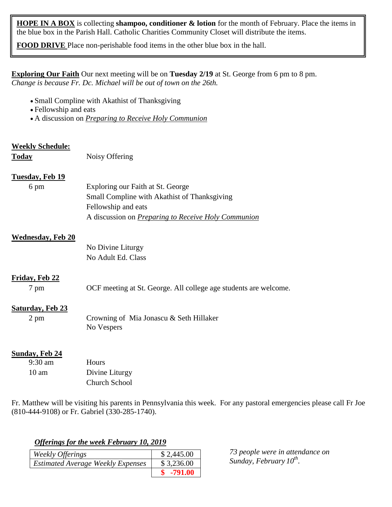**HOPE IN A BOX** is collecting **shampoo, conditioner & lotion** for the month of February. Place the items in the blue box in the Parish Hall. Catholic Charities Community Closet will distribute the items.

**FOOD DRIVE** Place non-perishable food items in the other blue box in the hall.

**Exploring Our Faith** Our next meeting will be on **Tuesday 2/19** at St. George from 6 pm to 8 pm. *Change is because Fr. Dc. Michael will be out of town on the 26th.*

- Small Compline with Akathist of Thanksgiving
- Fellowship and eats
- A discussion on *Preparing to Receive Holy Communion*

| <b>Weekly Schedule:</b>  |                                                                  |
|--------------------------|------------------------------------------------------------------|
| <b>Today</b>             | Noisy Offering                                                   |
| <b>Tuesday, Feb 19</b>   |                                                                  |
| 6 pm                     | Exploring our Faith at St. George                                |
|                          | Small Compline with Akathist of Thanksgiving                     |
|                          | Fellowship and eats                                              |
|                          | A discussion on <i>Preparing to Receive Holy Communion</i>       |
| <b>Wednesday, Feb 20</b> |                                                                  |
|                          | No Divine Liturgy                                                |
|                          | No Adult Ed. Class                                               |
| Friday, Feb 22           |                                                                  |
| 7 pm                     | OCF meeting at St. George. All college age students are welcome. |
| <b>Saturday, Feb 23</b>  |                                                                  |
| $2 \text{ pm}$           | Crowning of Mia Jonascu & Seth Hillaker<br>No Vespers            |
| <b>Sunday, Feb 24</b>    |                                                                  |
| $9:30$ am                | Hours                                                            |
| 10 <sub>am</sub>         | Divine Liturgy                                                   |

Fr. Matthew will be visiting his parents in Pennsylvania this week. For any pastoral emergencies please call Fr Joe (810-444-9108) or Fr. Gabriel (330-285-1740).

*Offerings for the week February 10, 2019*

Church School

| Weekly Offerings                         | \$2,445.00  |
|------------------------------------------|-------------|
| <b>Estimated Average Weekly Expenses</b> | \$3,236.00  |
|                                          | $$ -791.00$ |

*73 people were in attendance on Sunday, February 10th .*